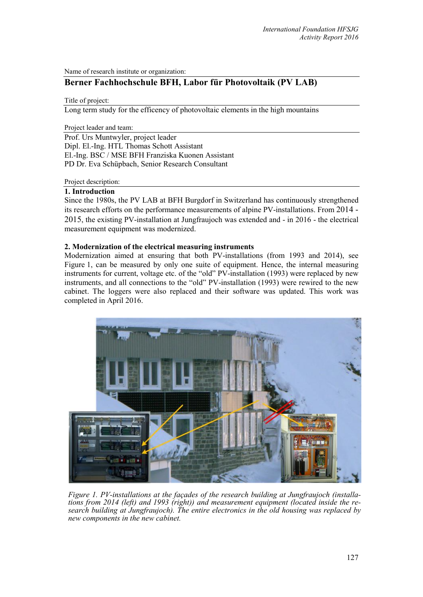Name of research institute or organization:

# **Berner Fachhochschule BFH, Labor für Photovoltaik (PV LAB)**

Title of project:

Long term study for the efficency of photovoltaic elements in the high mountains

Project leader and team:

Prof. Urs Muntwyler, project leader Dipl. El.-Ing. HTL Thomas Schott Assistant El.-Ing. BSC / MSE BFH Franziska Kuonen Assistant PD Dr. Eva Schüpbach, Senior Research Consultant

Project description:

## **1. Introduction**

Since the 1980s, the PV LAB at BFH Burgdorf in Switzerland has continuously strengthened its research efforts on the performance measurements of alpine PV-installations. From 2014 - 2015, the existing PV-installation at Jungfraujoch was extended and - in 2016 - the electrical measurement equipment was modernized.

## **2. Modernization of the electrical measuring instruments**

Modernization aimed at ensuring that both PV-installations (from 1993 and 2014), see Figure 1, can be measured by only one suite of equipment. Hence, the internal measuring instruments for current, voltage etc. of the "old" PV-installation (1993) were replaced by new instruments, and all connections to the "old" PV-installation (1993) were rewired to the new cabinet. The loggers were also replaced and their software was updated. This work was completed in April 2016.



*Figure 1. PV-installations at the façades of the research building at Jungfraujoch (installations from 2014 (left) and 1993 (right)) and measurement equipment (located inside the research building at Jungfraujoch). The entire electronics in the old housing was replaced by new components in the new cabinet.*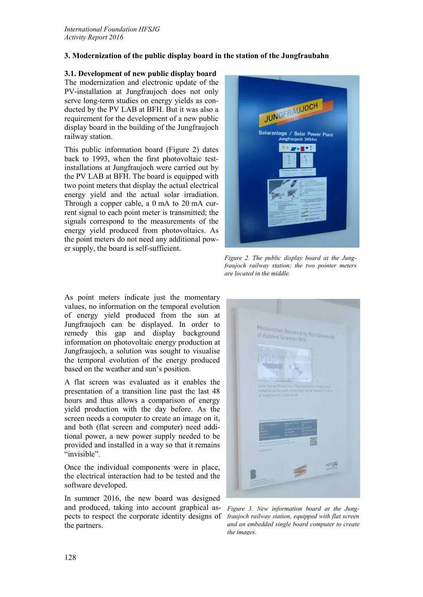# **3. Modernization of the public display board in the station of the Jungfraubahn**

#### **3.1. Development of new public display board**

The modernization and electronic update of the PV-installation at Jungfraujoch does not only serve long-term studies on energy yields as conducted by the PV LAB at BFH. But it was also a requirement for the development of a new public display board in the building of the Jungfraujoch railway station.

This public information board (Figure 2) dates back to 1993, when the first photovoltaic testinstallations at Jungfraujoch were carried out by the PV LAB at BFH. The board is equipped with two point meters that display the actual electrical energy yield and the actual solar irradiation. Through a copper cable, a 0 mA to 20 mA current signal to each point meter is transmitted; the signals correspond to the measurements of the energy yield produced from photovoltaics. As the point meters do not need any additional power supply, the board is self-sufficient.



*Figure 2. The public display board at the Jungfraujoch railway station; the two pointer meters are located in the middle.*

As point meters indicate just the momentary values, no information on the temporal evolution of energy yield produced from the sun at Jungfraujoch can be displayed. In order to remedy this gap and display background information on photovoltaic energy production at Jungfraujoch, a solution was sought to visualise the temporal evolution of the energy produced based on the weather and sun's position.

A flat screen was evaluated as it enables the presentation of a transition line past the last 48 hours and thus allows a comparison of energy yield production with the day before. As the screen needs a computer to create an image on it, and both (flat screen and computer) need additional power, a new power supply needed to be provided and installed in a way so that it remains "invisible".

Once the individual components were in place, the electrical interaction had to be tested and the software developed.

In summer 2016, the new board was designed and produced, taking into account graphical aspects to respect the corporate identity designs of the partners.



*Figure 3. New information board at the Jungfraujoch railway station, equipped with flat screen and an embedded single board computer to create the images.*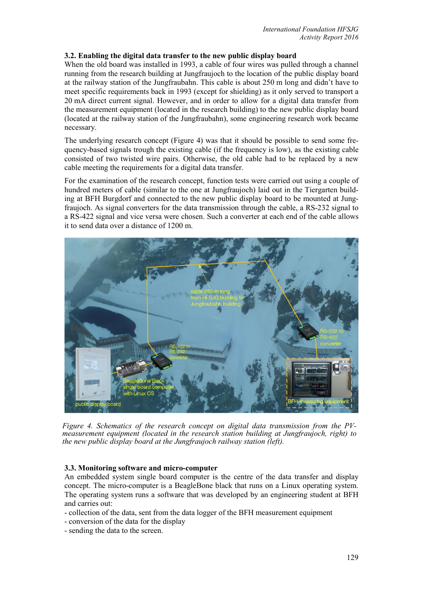## **3.2. Enabling the digital data transfer to the new public display board**

When the old board was installed in 1993, a cable of four wires was pulled through a channel running from the research building at Jungfraujoch to the location of the public display board at the railway station of the Jungfraubahn. This cable is about 250 m long and didn't have to meet specific requirements back in 1993 (except for shielding) as it only served to transport a 20 mA direct current signal. However, and in order to allow for a digital data transfer from the measurement equipment (located in the research building) to the new public display board (located at the railway station of the Jungfraubahn), some engineering research work became necessary.

The underlying research concept (Figure 4) was that it should be possible to send some frequency-based signals trough the existing cable (if the frequency is low), as the existing cable consisted of two twisted wire pairs. Otherwise, the old cable had to be replaced by a new cable meeting the requirements for a digital data transfer.

For the examination of the research concept, function tests were carried out using a couple of hundred meters of cable (similar to the one at Jungfraujoch) laid out in the Tiergarten building at BFH Burgdorf and connected to the new public display board to be mounted at Jungfraujoch. As signal converters for the data transmission through the cable, a RS-232 signal to a RS-422 signal and vice versa were chosen. Such a converter at each end of the cable allows it to send data over a distance of 1200 m.



*Figure 4. Schematics of the research concept on digital data transmission from the PV- measurement equipment (located in the research station building at Jungfraujoch, right) to the new public display board at the Jungfraujoch railway station (left).*

### **3.3. Monitoring software and micro-computer**

An embedded system single board computer is the centre of the data transfer and display concept. The micro-computer is a BeagleBone black that runs on a Linux operating system. The operating system runs a software that was developed by an engineering student at BFH and carries out:

- collection of the data, sent from the data logger of the BFH measurement equipment
- conversion of the data for the display
- sending the data to the screen.